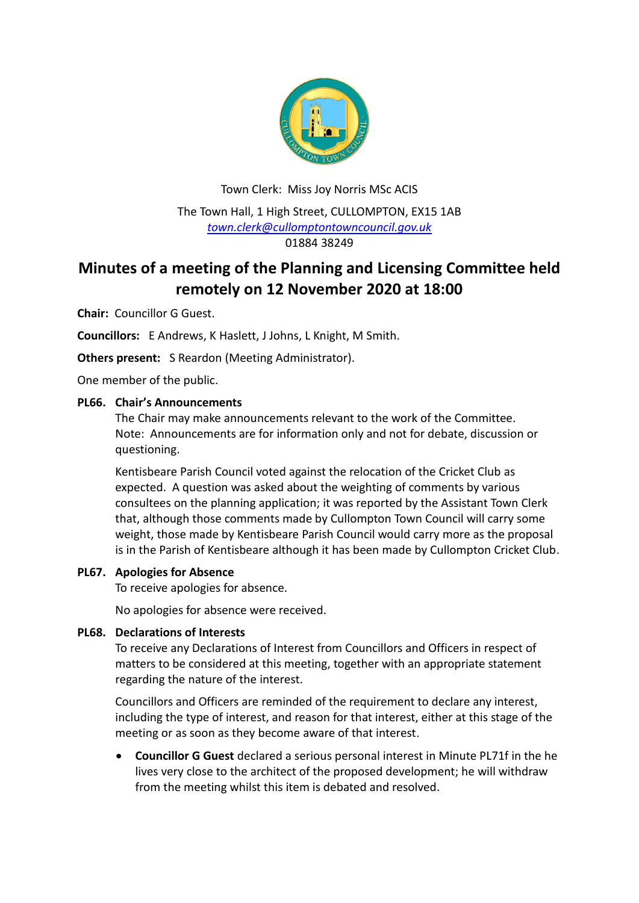

Town Clerk: Miss Joy Norris MSc ACIS The Town Hall, 1 High Street, CULLOMPTON, EX15 1AB *[town.clerk@cullomptontowncouncil.gov.uk](mailto:town.clerk@cullomptontowncouncil.gov.uk)* 01884 38249

# **Minutes of a meeting of the Planning and Licensing Committee held remotely on 12 November 2020 at 18:00**

**Chair:** Councillor G Guest.

**Councillors:** E Andrews, K Haslett, J Johns, L Knight, M Smith.

**Others present:** S Reardon (Meeting Administrator).

One member of the public.

## **PL66. Chair's Announcements**

The Chair may make announcements relevant to the work of the Committee. Note: Announcements are for information only and not for debate, discussion or questioning.

Kentisbeare Parish Council voted against the relocation of the Cricket Club as expected. A question was asked about the weighting of comments by various consultees on the planning application; it was reported by the Assistant Town Clerk that, although those comments made by Cullompton Town Council will carry some weight, those made by Kentisbeare Parish Council would carry more as the proposal is in the Parish of Kentisbeare although it has been made by Cullompton Cricket Club.

#### **PL67. Apologies for Absence**

To receive apologies for absence.

No apologies for absence were received.

#### **PL68. Declarations of Interests**

To receive any Declarations of Interest from Councillors and Officers in respect of matters to be considered at this meeting, together with an appropriate statement regarding the nature of the interest.

Councillors and Officers are reminded of the requirement to declare any interest, including the type of interest, and reason for that interest, either at this stage of the meeting or as soon as they become aware of that interest.

 **Councillor G Guest** declared a serious personal interest in Minute PL71f in the he lives very close to the architect of the proposed development; he will withdraw from the meeting whilst this item is debated and resolved.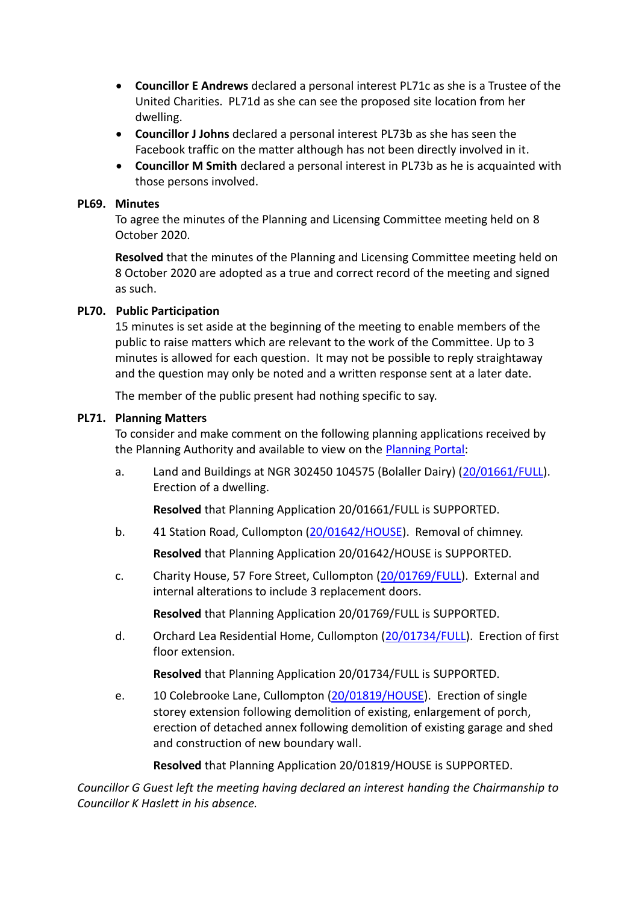- **Councillor E Andrews** declared a personal interest PL71c as she is a Trustee of the United Charities. PL71d as she can see the proposed site location from her dwelling.
- **Councillor J Johns** declared a personal interest PL73b as she has seen the Facebook traffic on the matter although has not been directly involved in it.
- **Councillor M Smith** declared a personal interest in PL73b as he is acquainted with those persons involved.

#### **PL69. Minutes**

To agree the minutes of the Planning and Licensing Committee meeting held on 8 October 2020.

**Resolved** that the minutes of the Planning and Licensing Committee meeting held on 8 October 2020 are adopted as a true and correct record of the meeting and signed as such.

## **PL70. Public Participation**

15 minutes is set aside at the beginning of the meeting to enable members of the public to raise matters which are relevant to the work of the Committee. Up to 3 minutes is allowed for each question. It may not be possible to reply straightaway and the question may only be noted and a written response sent at a later date.

The member of the public present had nothing specific to say.

## **PL71. Planning Matters**

To consider and make comment on the following planning applications received by the Planning Authority and available to view on the [Planning Portal:](https://planning.middevon.gov.uk/online-applications/)

a. Land and Buildings at NGR 302450 104575 (Bolaller Dairy) [\(20/01661/FULL\)](https://planning.middevon.gov.uk/online-applications/applicationDetails.do?activeTab=documents&keyVal=QI301RKS05K00). Erection of a dwelling.

**Resolved** that Planning Application 20/01661/FULL is SUPPORTED.

b. 41 Station Road, Cullompton [\(20/01642/HOUSE\)](https://planning.middevon.gov.uk/online-applications/applicationDetails.do?activeTab=documents&keyVal=QHVOKCKS07T00). Removal of chimney.

**Resolved** that Planning Application 20/01642/HOUSE is SUPPORTED.

c. Charity House, 57 Fore Street, Cullompton [\(20/01769/FULL\)](https://planning.middevon.gov.uk/online-applications/applicationDetails.do?activeTab=documents&keyVal=QIV5G4KS05K00). External and internal alterations to include 3 replacement doors.

**Resolved** that Planning Application 20/01769/FULL is SUPPORTED.

d. Orchard Lea Residential Home, Cullompton [\(20/01734/FULL\)](https://planning.middevon.gov.uk/online-applications/applicationDetails.do?activeTab=documents&keyVal=QIJQWIKS05K00). Erection of first floor extension.

**Resolved** that Planning Application 20/01734/FULL is SUPPORTED.

e. 10 Colebrooke Lane, Cullompton [\(20/01819/HOUSE\)](https://planning.middevon.gov.uk/online-applications/applicationDetails.do?activeTab=documents&keyVal=QJ7UVFKS05K00). Erection of single storey extension following demolition of existing, enlargement of porch, erection of detached annex following demolition of existing garage and shed and construction of new boundary wall.

**Resolved** that Planning Application 20/01819/HOUSE is SUPPORTED.

*Councillor G Guest left the meeting having declared an interest handing the Chairmanship to Councillor K Haslett in his absence.*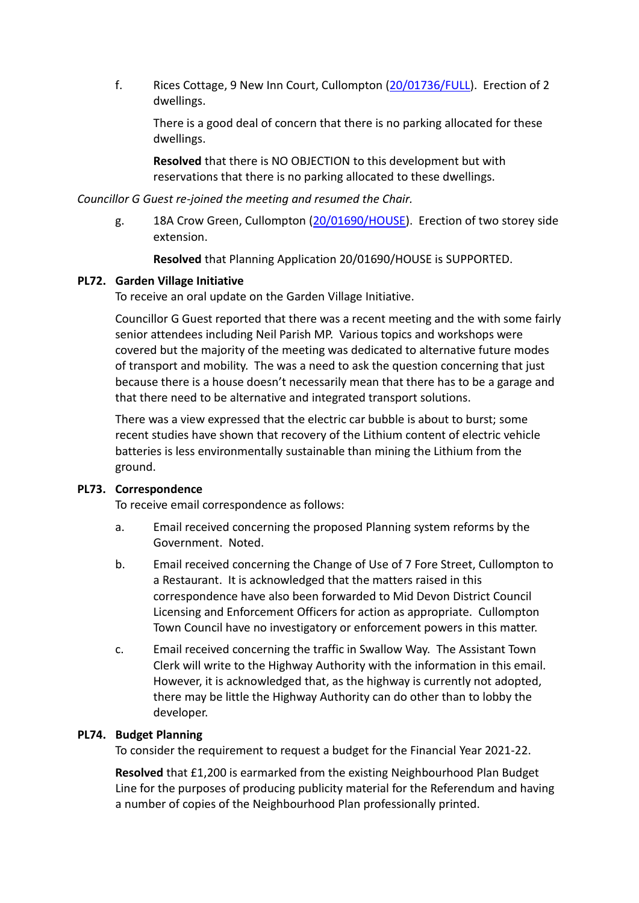f. Rices Cottage, 9 New Inn Court, Cullompton [\(20/01736/FULL\)](https://planning.middevon.gov.uk/online-applications/applicationDetails.do?activeTab=documents&keyVal=QIJSZDKS05K00). Erection of 2 dwellings.

There is a good deal of concern that there is no parking allocated for these dwellings.

**Resolved** that there is NO OBJECTION to this development but with reservations that there is no parking allocated to these dwellings.

## *Councillor G Guest re-joined the meeting and resumed the Chair.*

g. 18A Crow Green, Cullompton [\(20/01690/HOUSE\)](https://planning.middevon.gov.uk/online-applications/applicationDetails.do?activeTab=documents&keyVal=QI6TK3KS05K00). Erection of two storey side extension.

**Resolved** that Planning Application 20/01690/HOUSE is SUPPORTED.

## **PL72. Garden Village Initiative**

To receive an oral update on the Garden Village Initiative.

Councillor G Guest reported that there was a recent meeting and the with some fairly senior attendees including Neil Parish MP. Various topics and workshops were covered but the majority of the meeting was dedicated to alternative future modes of transport and mobility. The was a need to ask the question concerning that just because there is a house doesn't necessarily mean that there has to be a garage and that there need to be alternative and integrated transport solutions.

There was a view expressed that the electric car bubble is about to burst; some recent studies have shown that recovery of the Lithium content of electric vehicle batteries is less environmentally sustainable than mining the Lithium from the ground.

## **PL73. Correspondence**

To receive email correspondence as follows:

- a. Email received concerning the proposed Planning system reforms by the Government. Noted.
- b. Email received concerning the Change of Use of 7 Fore Street, Cullompton to a Restaurant. It is acknowledged that the matters raised in this correspondence have also been forwarded to Mid Devon District Council Licensing and Enforcement Officers for action as appropriate. Cullompton Town Council have no investigatory or enforcement powers in this matter.
- c. Email received concerning the traffic in Swallow Way. The Assistant Town Clerk will write to the Highway Authority with the information in this email. However, it is acknowledged that, as the highway is currently not adopted, there may be little the Highway Authority can do other than to lobby the developer.

## **PL74. Budget Planning**

To consider the requirement to request a budget for the Financial Year 2021-22.

**Resolved** that £1,200 is earmarked from the existing Neighbourhood Plan Budget Line for the purposes of producing publicity material for the Referendum and having a number of copies of the Neighbourhood Plan professionally printed.